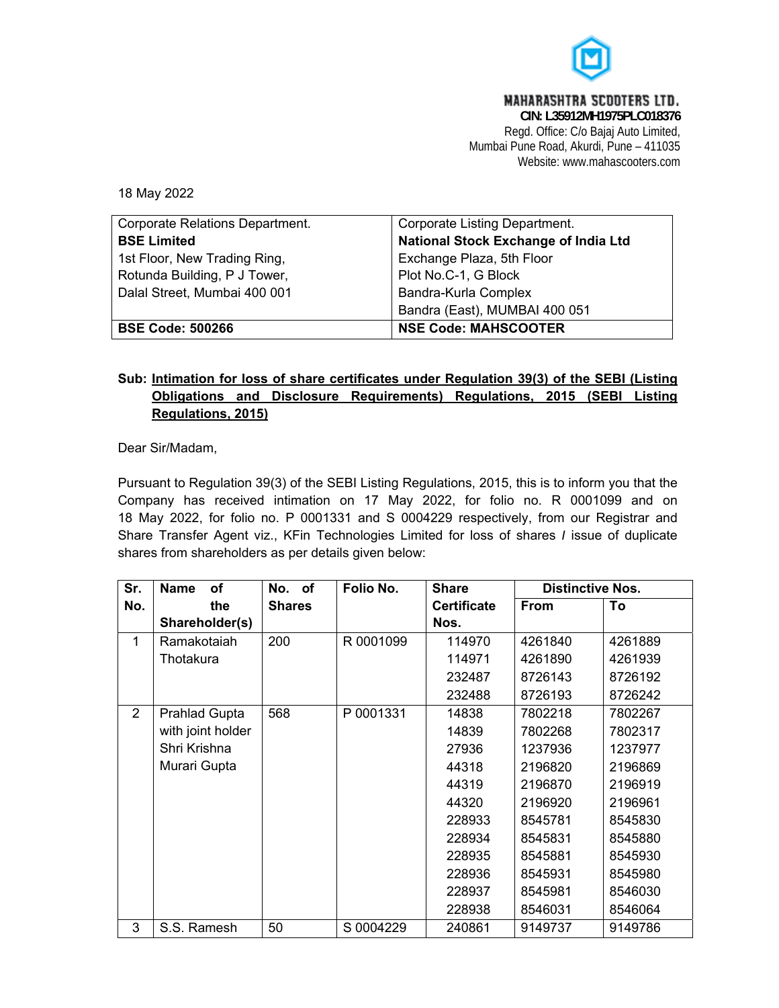

**MAHARASHTRA SCODTERS LTD.** 

**CIN: L35912MH1975PLC018376**  Regd. Office: C/o Bajaj Auto Limited, Mumbai Pune Road, Akurdi, Pune – 411035 Website: www.mahascooters.com

18 May 2022

| Corporate Relations Department. | Corporate Listing Department.        |
|---------------------------------|--------------------------------------|
| <b>BSE Limited</b>              | National Stock Exchange of India Ltd |
| 1st Floor, New Trading Ring,    | Exchange Plaza, 5th Floor            |
| Rotunda Building, P J Tower,    | Plot No.C-1, G Block                 |
| Dalal Street, Mumbai 400 001    | Bandra-Kurla Complex                 |
|                                 | Bandra (East), MUMBAI 400 051        |
| <b>BSE Code: 500266</b>         | <b>NSE Code: MAHSCOOTER</b>          |

## **Sub: Intimation for loss of share certificates under Regulation 39(3) of the SEBI (Listing Obligations and Disclosure Requirements) Regulations, 2015 (SEBI Listing Regulations, 2015)**

Dear Sir/Madam,

Pursuant to Regulation 39(3) of the SEBI Listing Regulations, 2015, this is to inform you that the Company has received intimation on 17 May 2022, for folio no. R 0001099 and on 18 May 2022, for folio no. P 0001331 and S 0004229 respectively, from our Registrar and Share Transfer Agent viz., KFin Technologies Limited for loss of shares *I* issue of duplicate shares from shareholders as per details given below:

| Sr.          | <b>Name</b><br><b>of</b> | No. of        | Folio No. | <b>Share</b>       | <b>Distinctive Nos.</b> |         |
|--------------|--------------------------|---------------|-----------|--------------------|-------------------------|---------|
| No.          | the                      | <b>Shares</b> |           | <b>Certificate</b> | <b>From</b>             | To      |
|              | Shareholder(s)           |               |           | Nos.               |                         |         |
| $\mathbf{1}$ | Ramakotaiah              | 200           | R 0001099 | 114970             | 4261840                 | 4261889 |
|              | Thotakura                |               |           | 114971             | 4261890                 | 4261939 |
|              |                          |               |           | 232487             | 8726143                 | 8726192 |
|              |                          |               |           | 232488             | 8726193                 | 8726242 |
| 2            | <b>Prahlad Gupta</b>     | 568           | P 0001331 | 14838              | 7802218                 | 7802267 |
|              | with joint holder        |               |           | 14839              | 7802268                 | 7802317 |
|              | Shri Krishna             |               |           | 27936              | 1237936                 | 1237977 |
|              | Murari Gupta             |               |           | 44318              | 2196820                 | 2196869 |
|              |                          |               |           | 44319              | 2196870                 | 2196919 |
|              |                          |               |           | 44320              | 2196920                 | 2196961 |
|              |                          |               |           | 228933             | 8545781                 | 8545830 |
|              |                          |               |           | 228934             | 8545831                 | 8545880 |
|              |                          |               |           | 228935             | 8545881                 | 8545930 |
|              |                          |               |           | 228936             | 8545931                 | 8545980 |
|              |                          |               |           | 228937             | 8545981                 | 8546030 |
|              |                          |               |           | 228938             | 8546031                 | 8546064 |
| 3            | S.S. Ramesh              | 50            | S 0004229 | 240861             | 9149737                 | 9149786 |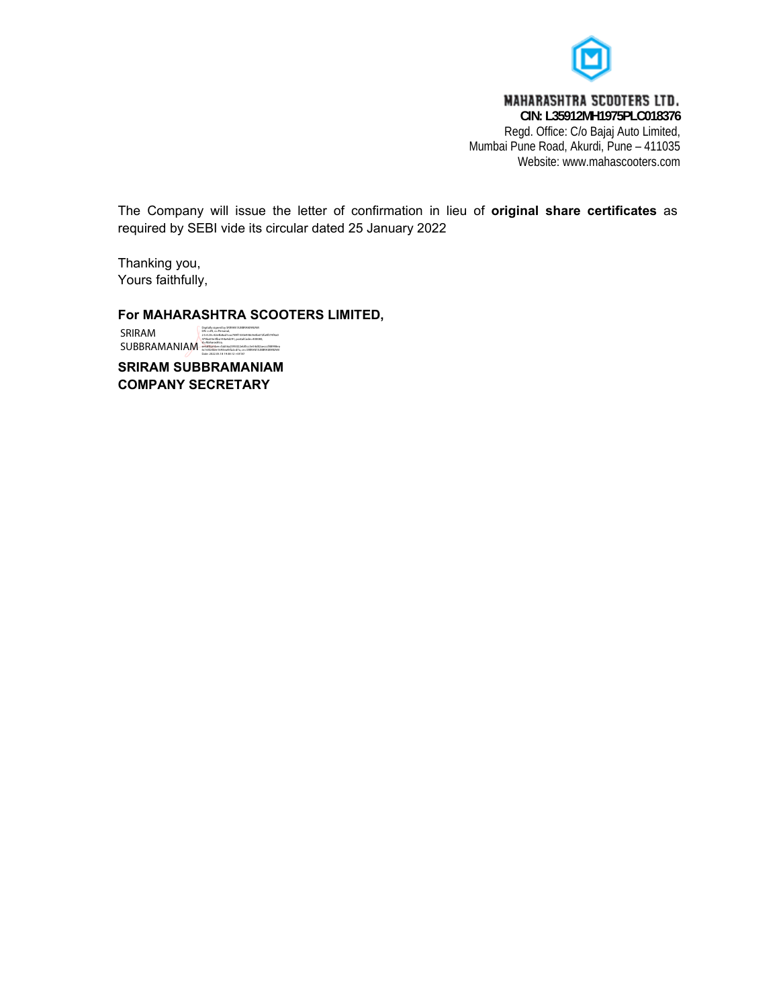

## **MAHARASHTRA SCOOTERS LTD.**

**CIN: L35912MH1975PLC018376**  Regd. Office: C/o Bajaj Auto Limited, Mumbai Pune Road, Akurdi, Pune – 411035 Website: www.mahascooters.com

The Company will issue the letter of confirmation in lieu of **original share certificates** as required by SEBI vide its circular dated 25 January 2022

Thanking you, Yours faithfully,

**For MAHARASHTRA SCOOTERS LIMITED,** 

SRIRAM SUBBRAMANIAM 2.5.4.20=42e4b8ad1cac789f1530e958c9e0b672fa4f374f4a0 479ba55e3fba144a4d291, postalCode=400080, st=Maharashtra, serialNumber=fab56a2595022ebf5cc3e54d02aecccf88998ea 6c165b46ee1693ea45fa2cd7a, cn=SRIRAM SUBBRAMANIAM Date: 2022.05.18 19:38:12 +05'30'Digitally signed by SRIRAM SUBBRAMANIAM DN: c=IN, o=Personal,

**SRIRAM SUBBRAMANIAM COMPANY SECRETARY**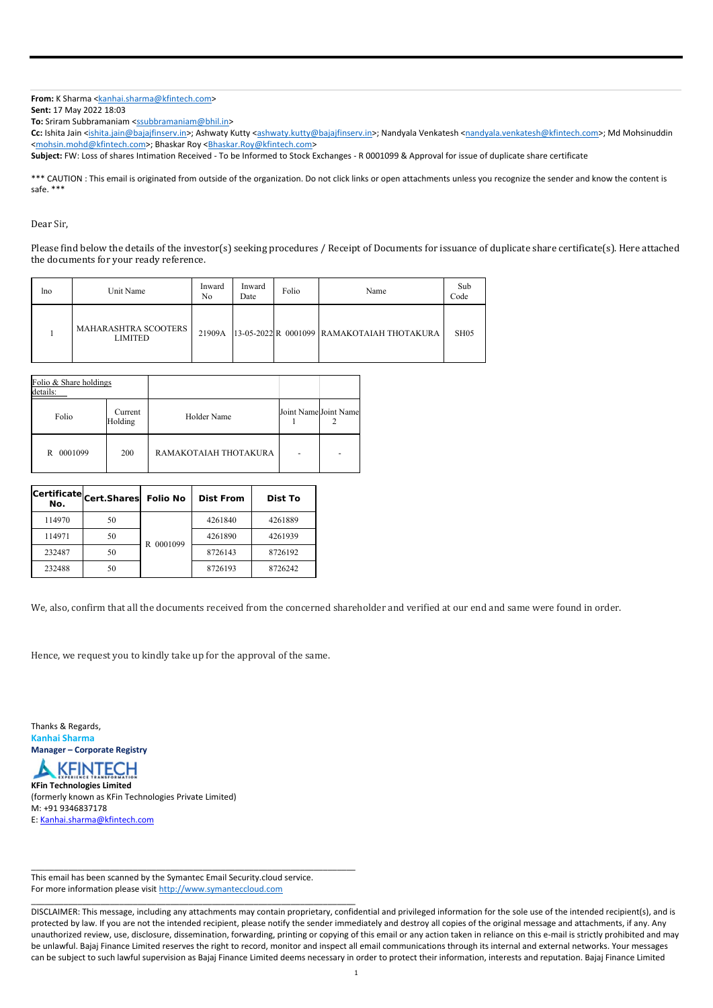## **From:** K Sharma <kanhai.sharma@kfintech.com>

**Sent:** 17 May 2022 18:03

**To:** Sriram Subbramaniam <ssubbramaniam@bhil.in>

Cc: Ishita Jain <ishita.jain@bajajfinserv.in>; Ashwaty Kutty <ashwaty.kutty@bajajfinserv.in>; Nandyala Venkatesh <nandyala.venkatesh@kfintech.com>; Md Mohsinuddin <mohsin.mohd@kfintech.com>; Bhaskar Roy <Bhaskar.Roy@kfintech.com>

\*\*\* CAUTION : This email is originated from outside of the organization. Do not click links or open attachments unless you recognize the sender and know the content is safe. \*\*\*

**Subject:** FW: Loss of shares Intimation Received ‐ To be Informed to Stock Exchanges ‐ R 0001099 & Approval for issue of duplicate share certificate

Dear Sir,

Please find below the details of the investor(s) seeking procedures / Receipt of Documents for issuance of duplicate share certificate(s). Here attached the documents for your ready reference.

| lno. | Unit Name                              | Inward<br>No | Inward<br>Date | Folio | Name                                       | Sub<br>Code |
|------|----------------------------------------|--------------|----------------|-------|--------------------------------------------|-------------|
|      | MAHARASHTRA SCOOTERS<br><b>LIMITED</b> | 21909A       |                |       | 13-05-2022 R 0001099 RAMAKOTAIAH THOTAKURA | SH05        |

| Folio & Share holdings<br>details: |                    |                       |                       |  |
|------------------------------------|--------------------|-----------------------|-----------------------|--|
| Folio                              | Current<br>Holding | Holder Name           | Joint Name Joint Name |  |
| R 0001099                          | 200                | RAMAKOTAJAH THOTAKURA |                       |  |

| Certificate<br>No. | Cert.Shares | <b>Folio No</b> | <b>Dist From</b> | Dist To |
|--------------------|-------------|-----------------|------------------|---------|
| 114970             | 50          | 0001099<br>R    | 4261840          | 4261889 |
| 114971             | 50          |                 | 4261890          | 4261939 |
| 232487             | 50          |                 | 8726143          | 8726192 |
| 232488             | 50          |                 | 8726193          | 8726242 |

We, also, confirm that all the documents received from the concerned shareholder and verified at our end and same were found in order.

Hence, we request you to kindly take up for the approval of the same.

Thanks & Regards, **Kanhai Sharma Manager – Corporate Registry** 



**KFin Technologies Limited** 

(formerly known as KFin Technologies Private Limited) M: +91 9346837178

E: Kanhai.sharma@kfintech.com

\_\_\_\_\_\_\_\_\_\_\_\_\_\_\_\_\_\_\_\_\_\_\_\_\_\_\_\_\_\_\_\_\_\_\_\_\_\_\_\_\_\_\_\_\_\_\_\_\_\_\_\_\_\_\_\_\_\_\_\_\_\_\_\_\_\_\_\_\_\_

This email has been scanned by the Symantec Email Security.cloud service. For more information please visit http://www.symanteccloud.com

\_\_\_\_\_\_\_\_\_\_\_\_\_\_\_\_\_\_\_\_\_\_\_\_\_\_\_\_\_\_\_\_\_\_\_\_\_\_\_\_\_\_\_\_\_\_\_\_\_\_\_\_\_\_\_\_\_\_\_\_\_\_\_\_\_\_\_\_\_\_

DISCLAIMER: This message, including any attachments may contain proprietary, confidential and privileged information for the sole use of the intended recipient(s), and is protected by law. If you are not the intended recipient, please notify the sender immediately and destroy all copies of the original message and attachments, if any. Any unauthorized review, use, disclosure, dissemination, forwarding, printing or copying of this email or any action taken in reliance on this e-mail is strictly prohibited and may be unlawful. Bajaj Finance Limited reserves the right to record, monitor and inspect all email communications through its internal and external networks. Your messages can be subject to such lawful supervision as Bajaj Finance Limited deems necessary in order to protect their information, interests and reputation. Bajaj Finance Limited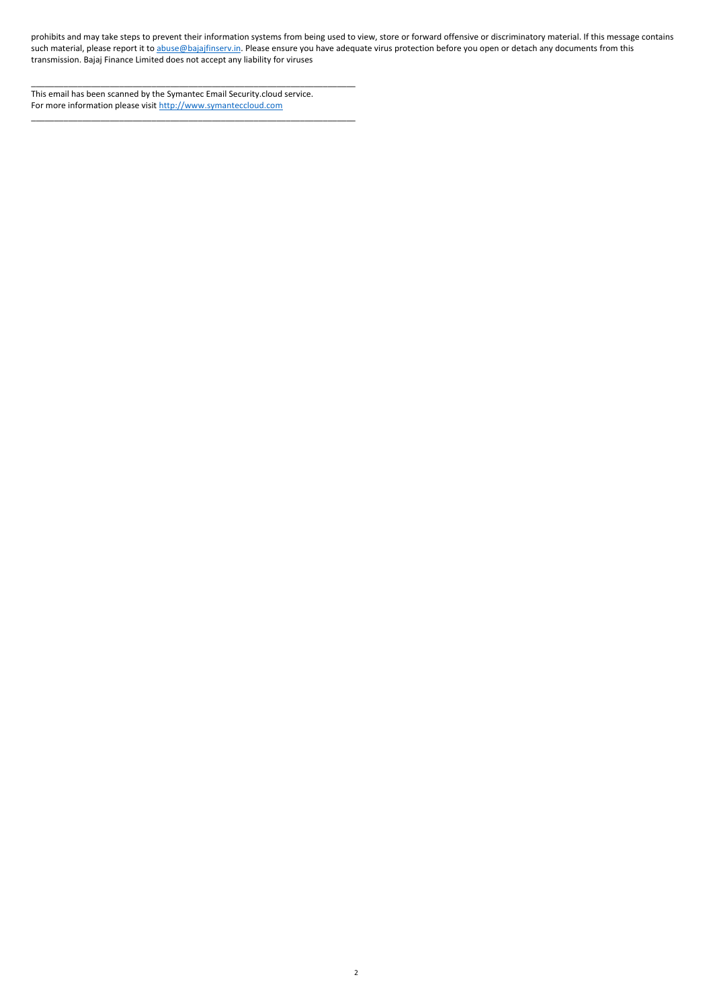2

prohibits and may take steps to prevent their information systems from being used to view, store or forward offensive or discriminatory material. If this message contains such material, please report it to abuse@bajajfinserv.in. Please ensure you have adequate virus protection before you open or detach any documents from this transmission. Bajaj Finance Limited does not accept any liability for viruses

This email has been scanned by the Symantec Email Security.cloud service. For more information please visit http://www.symanteccloud.com

\_\_\_\_\_\_\_\_\_\_\_\_\_\_\_\_\_\_\_\_\_\_\_\_\_\_\_\_\_\_\_\_\_\_\_\_\_\_\_\_\_\_\_\_\_\_\_\_\_\_\_\_\_\_\_\_\_\_\_\_\_\_\_\_\_\_\_\_\_\_

\_\_\_\_\_\_\_\_\_\_\_\_\_\_\_\_\_\_\_\_\_\_\_\_\_\_\_\_\_\_\_\_\_\_\_\_\_\_\_\_\_\_\_\_\_\_\_\_\_\_\_\_\_\_\_\_\_\_\_\_\_\_\_\_\_\_\_\_\_\_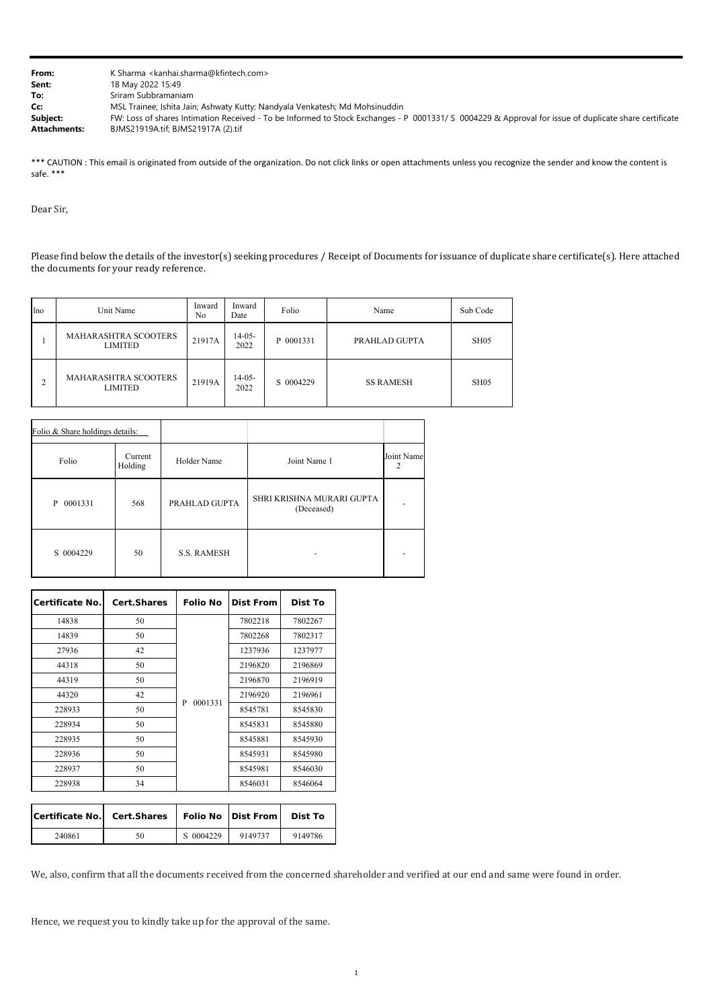| From:               | K Sharma < kanhai.sharma@kfintech.com >                                                                                                               |
|---------------------|-------------------------------------------------------------------------------------------------------------------------------------------------------|
| Sent:               | 18 May 2022 15:49                                                                                                                                     |
| To:                 | Sriram Subbramaniam                                                                                                                                   |
| Cc:                 | MSL Trainee; Ishita Jain; Ashwaty Kutty; Nandyala Venkatesh; Md Mohsinuddin                                                                           |
| Subject:            | FW: Loss of shares Intimation Received - To be Informed to Stock Exchanges - P 0001331/ S 0004229 & Approval for issue of duplicate share certificate |
| <b>Attachments:</b> | BJMS21919A.tif; BJMS21917A (2).tif                                                                                                                    |

\*\*\* CAUTION : This email is originated from outside of the organization. Do not click links or open attachments unless you recognize the sender and know the content is safe. \*\*\*

Dear Sir,

Please find below the details of the investor(s) seeking procedures / Receipt of Documents for issuance of duplicate share certificate(s). Here attached the documents for your ready reference.

| lno | Unit Name                                     | Inward<br>No. | Inward<br>Date   | Folio     | Name             | Sub Code         |
|-----|-----------------------------------------------|---------------|------------------|-----------|------------------|------------------|
|     | MAHARASHTRA SCOOTERS<br><b>LIMITED</b>        | 21917A        | $14-05-$<br>2022 | P 0001331 | PRAHLAD GUPTA    | SH <sub>05</sub> |
| ◠   | <b>MAHARASHTRA SCOOTERS</b><br><b>LIMITED</b> | 21919A        | $14-05-$<br>2022 | S 0004229 | <b>SS RAMESH</b> | SH05             |

| Folio & Share holdings details: |                    |                    |                                         |            |
|---------------------------------|--------------------|--------------------|-----------------------------------------|------------|
| Folio                           | Current<br>Holding | Holder Name        | Joint Name 1                            | Joint Name |
| 0001331<br>P                    | 568                | PRAHLAD GUPTA      | SHRI KRISHNA MURARI GUPTA<br>(Deceased) |            |
| S 0004229                       | 50                 | <b>S.S. RAMESH</b> |                                         |            |

| <b>Certificate No.</b> | <b>Cert.Shares</b> | <b>Folio No</b> | <b>Dist From</b> | Dist To |
|------------------------|--------------------|-----------------|------------------|---------|
| 14838                  | 50                 |                 | 7802218          | 7802267 |
| 14839                  | 50                 |                 | 7802268          | 7802317 |
| 27936                  | 42                 |                 | 1237936          | 1237977 |
| 44318                  | 50                 |                 | 2196820          | 2196869 |
| 44319                  | 50                 |                 | 2196870          | 2196919 |
| 44320                  | 42                 |                 | 2196920          | 2196961 |
| 228933                 | 50                 | 0001331<br>P    | 8545781          | 8545830 |
| 228934                 | 50                 |                 | 8545831          | 8545880 |
| 228935                 | 50                 |                 | 8545881          | 8545930 |
| 228936                 | 50                 |                 | 8545931          | 8545980 |
| 228937                 | 50                 |                 | 8545981          | 8546030 |
| 228938                 | 34                 |                 | 8546031          | 8546064 |

|        | Certificate No.   Cert. Shares   Folio No   Dist From |           |         | Dist To |
|--------|-------------------------------------------------------|-----------|---------|---------|
| 240861 | 50                                                    | S 0004229 | 9149737 | 9149786 |

We, also, confirm that all the documents received from the concerned shareholder and verified at our end and same were found in order.

Hence, we request you to kindly take up for the approval of the same.